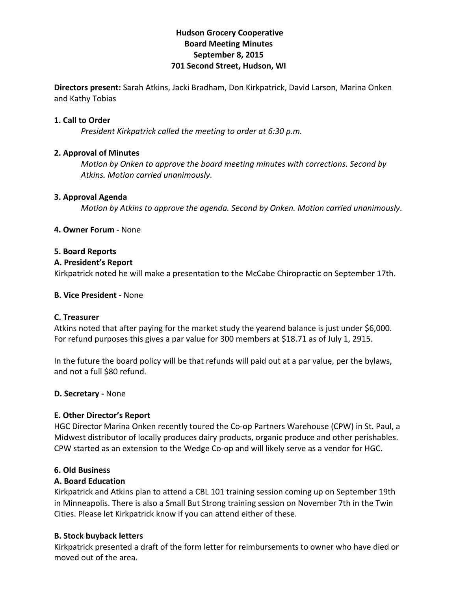# **Hudson!Grocery!Cooperative Board!Meeting!Minutes September 8, 2015 701 Second Street, Hudson, WI**

**Directors present:** Sarah Atkins, Jacki Bradham, Don Kirkpatrick, David Larson, Marina Onken and Kathy Tobias

### **1. Call to Order**

*President Kirkpatrick called the meeting to order at 6:30 p.m.* 

# **2. Approval of Minutes**

*Motion by Onken to approve the board meeting minutes with corrections. Second by* Atkins. Motion carried unanimously.

### **3. Approval Agenda**

*Motion)by)Atkins)to)approve)the)agenda.)Second)by)Onken.)Motion)carried)unanimously*.

# **4. Owner Forum - None**

### **5.!Board!Reports**

# **A. President's Report**

Kirkpatrick noted he will make a presentation to the McCabe Chiropractic on September 17th.

# **B. Vice President - None**

### **C.!Treasurer**

Atkins noted that after paying for the market study the yearend balance is just under \$6,000. For refund purposes this gives a par value for 300 members at \$18.71 as of July 1, 2915.

In the future the board policy will be that refunds will paid out at a par value, per the bylaws, and not a full \$80 refund.

### **D. Secretary - None**

# **E. Other Director's Report**

HGC Director Marina Onken recently toured the Co-op Partners Warehouse (CPW) in St. Paul, a Midwest distributor of locally produces dairy products, organic produce and other perishables. CPW started as an extension to the Wedge Co-op and will likely serve as a vendor for HGC.

### **6.!Old!Business**

### **A.!Board!Education**

Kirkpatrick and Atkins plan to attend a CBL 101 training session coming up on September 19th in Minneapolis. There is also a Small But Strong training session on November 7th in the Twin Cities. Please let Kirkpatrick know if you can attend either of these.

# **B. Stock buyback letters**

Kirkpatrick presented a draft of the form letter for reimbursements to owner who have died or moved out of the area.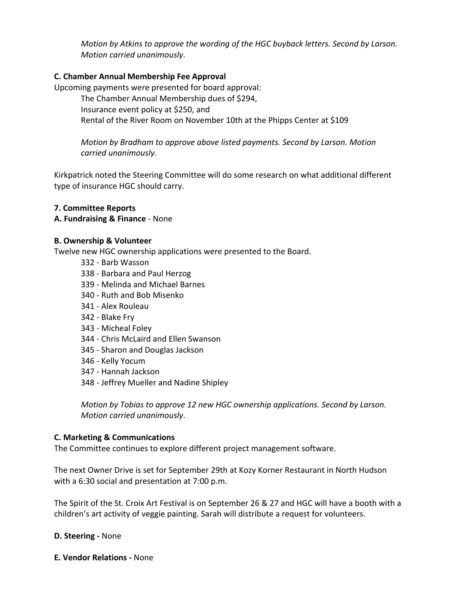*Motion by Atkins to approve the wording of the HGC buyback letters. Second by Larson. Motion carried unanimously.* 

# **C. Chamber Annual Membership Fee Approval**

Upcoming payments were presented for board approval:

The Chamber Annual Membership dues of \$294, Insurance event policy at \$250, and Rental of the River Room on November 10th at the Phipps Center at \$109

*Motion by Bradham to approve above listed payments. Second by Larson. Motion carried)unanimously*.

Kirkpatrick noted the Steering Committee will do some research on what additional different type of insurance HGC should carry.

# **7. Committee!Reports**

### **A. Fundraising & Finance** - None

### **B.!Ownership &!Volunteer**

Twelve new HGC ownership applications were presented to the Board.

- 332 Barb Wasson
- 338 Barbara and Paul Herzog
- 339 Melinda and Michael Barnes
- 340 Ruth and Bob Misenko
- 341 Alex Rouleau
- 342 Blake Fry
- 343 Micheal Foley
- 344 Chris McLaird and Ellen Swanson
- 345 Sharon and Douglas Jackson
- 346 Kelly Yocum
- 347 Hannah Jackson
- 348 Jeffrey Mueller and Nadine Shipley

*Motion by Tobias to approve 12 new HGC ownership applications. Second by Larson. Motion carried unanimously.* 

### **C. Marketing & Communications**

The Committee continues to explore different project management software.

The next Owner Drive is set for September 29th at Kozy Korner Restaurant in North Hudson with a 6:30 social and presentation at 7:00 p.m.

The Spirit of the St. Croix Art Festival is on September 26 & 27 and HGC will have a booth with a children's art activity of veggie painting. Sarah will distribute a request for volunteers.

### **D. Steering - None**

**E. Vendor Relations - None**